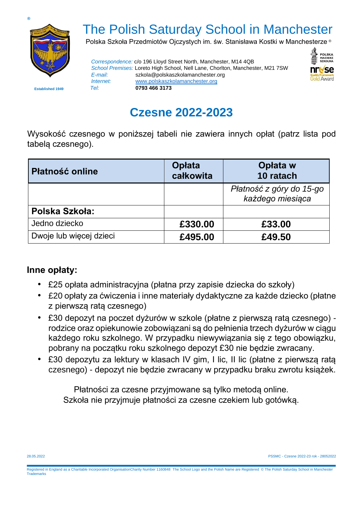

## The Polish Saturday School in Manchester

Polska Szkoła Przedmiotów Ojczystych im. św. Stanisława Kostki w Manchesterze ®

*Correspondence:* c/o 196 Lloyd Street North, Manchester, M14 4QB *School Premises:* Loreto High School, Nell Lane, Chorlton, Manchester, M21 7SW *E-mail:* szkola@polskaszkolamanchester.org *Internet:* [www.polskaszkolamanchester.org](http://www.polskaszkolamanchester.org/)  **Established 1949** *Tel:* **0793 466 3173**



**Czesne 2022-2023**

Wysokość czesnego w poniższej tabeli nie zawiera innych opłat (patrz lista pod tabelą czesnego).

| <b>Platność online</b>  | Opłata<br>całkowita | Opłata w<br>10 ratach                        |
|-------------------------|---------------------|----------------------------------------------|
|                         |                     | Płatność z góry do 15-go<br>każdego miesiąca |
| Polska Szkoła:          |                     |                                              |
| Jedno dziecko           | £330.00             | £33.00                                       |
| Dwoje lub więcej dzieci | £495.00             | £49.50                                       |

## **Inne opłaty:**

- £25 opłata administracyjna (płatna przy zapisie dziecka do szkoły)
- £20 opłaty za ćwiczenia i inne materiały dydaktyczne za każde dziecko (płatne z pierwszą ratą czesnego)
- £30 depozyt na poczet dyżurów w szkole (płatne z pierwszą ratą czesnego) rodzice oraz opiekunowie zobowiązani są do pełnienia trzech dyżurów w ciągu każdego roku szkolnego. W przypadku niewywiązania się z tego obowiązku, pobrany na początku roku szkolnego depozyt £30 nie będzie zwracany.
- £30 depozytu za lektury w klasach IV gim, I lic, II lic (płatne z pierwszą ratą czesnego) - depozyt nie będzie zwracany w przypadku braku zwrotu książek.

Płatności za czesne przyjmowane są tylko metodą online. Szkoła nie przyjmuje płatności za czesne czekiem lub gotówką.

28.05.2022 PSSMC - Czesne 2022-23 rok - 28052022

Registered in England as a Charitable Incorporated OrganisationCharity Number 1160848 The School Logo and the Polish Name are Registered © The Polish Saturday School in Manchester **Trademarks**